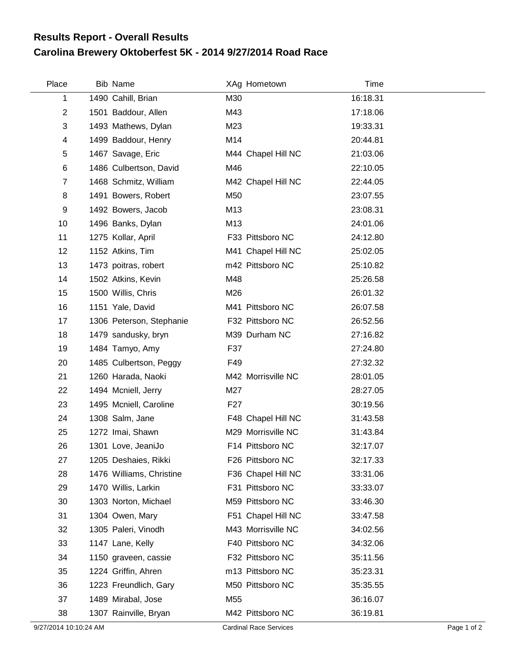## **Carolina Brewery Oktoberfest 5K - 2014 9/27/2014 Road Race Results Report - Overall Results**

| Place          | Bib Name                 |                 | XAg Hometown       | Time     |
|----------------|--------------------------|-----------------|--------------------|----------|
| 1              | 1490 Cahill, Brian       | M30             |                    | 16:18.31 |
| $\overline{c}$ | 1501 Baddour, Allen      | M43             |                    | 17:18.06 |
| 3              | 1493 Mathews, Dylan      | M23             |                    | 19:33.31 |
| 4              | 1499 Baddour, Henry      | M14             |                    | 20:44.81 |
| 5              | 1467 Savage, Eric        |                 | M44 Chapel Hill NC | 21:03.06 |
| 6              | 1486 Culbertson, David   | M46             |                    | 22:10.05 |
| $\overline{7}$ | 1468 Schmitz, William    |                 | M42 Chapel Hill NC | 22:44.05 |
| 8              | 1491 Bowers, Robert      | M50             |                    | 23:07.55 |
| 9              | 1492 Bowers, Jacob       | M13             |                    | 23:08.31 |
| 10             | 1496 Banks, Dylan        | M13             |                    | 24:01.06 |
| 11             | 1275 Kollar, April       |                 | F33 Pittsboro NC   | 24:12.80 |
| 12             | 1152 Atkins, Tim         |                 | M41 Chapel Hill NC | 25:02.05 |
| 13             | 1473 poitras, robert     |                 | m42 Pittsboro NC   | 25:10.82 |
| 14             | 1502 Atkins, Kevin       | M48             |                    | 25:26.58 |
| 15             | 1500 Willis, Chris       | M26             |                    | 26:01.32 |
| 16             | 1151 Yale, David         |                 | M41 Pittsboro NC   | 26:07.58 |
| 17             | 1306 Peterson, Stephanie |                 | F32 Pittsboro NC   | 26:52.56 |
| 18             | 1479 sandusky, bryn      |                 | M39 Durham NC      | 27:16.82 |
| 19             | 1484 Tamyo, Amy          | F37             |                    | 27:24.80 |
| 20             | 1485 Culbertson, Peggy   | F49             |                    | 27:32.32 |
| 21             | 1260 Harada, Naoki       |                 | M42 Morrisville NC | 28:01.05 |
| 22             | 1494 Mcniell, Jerry      | M27             |                    | 28:27.05 |
| 23             | 1495 Mcniell, Caroline   | F <sub>27</sub> |                    | 30:19.56 |
| 24             | 1308 Salm, Jane          |                 | F48 Chapel Hill NC | 31:43.58 |
| 25             | 1272 Imai, Shawn         |                 | M29 Morrisville NC | 31:43.84 |
| 26             | 1301 Love, JeaniJo       |                 | F14 Pittsboro NC   | 32:17.07 |
| 27             | 1205 Deshaies, Rikki     |                 | F26 Pittsboro NC   | 32:17.33 |
| 28             | 1476 Williams, Christine |                 | F36 Chapel Hill NC | 33:31.06 |
| 29             | 1470 Willis, Larkin      |                 | F31 Pittsboro NC   | 33:33.07 |
| 30             | 1303 Norton, Michael     |                 | M59 Pittsboro NC   | 33:46.30 |
| 31             | 1304 Owen, Mary          |                 | F51 Chapel Hill NC | 33:47.58 |
| 32             | 1305 Paleri, Vinodh      |                 | M43 Morrisville NC | 34:02.56 |
| 33             | 1147 Lane, Kelly         |                 | F40 Pittsboro NC   | 34:32.06 |
| 34             | 1150 graveen, cassie     |                 | F32 Pittsboro NC   | 35:11.56 |
| 35             | 1224 Griffin, Ahren      |                 | m13 Pittsboro NC   | 35:23.31 |
| 36             | 1223 Freundlich, Gary    |                 | M50 Pittsboro NC   | 35:35.55 |
| 37             | 1489 Mirabal, Jose       | M55             |                    | 36:16.07 |
| 38             | 1307 Rainville, Bryan    |                 | M42 Pittsboro NC   | 36:19.81 |